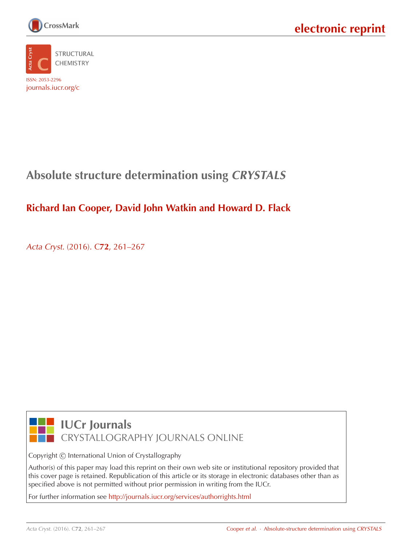



# **Absolute structure determination using CRYSTALS**

### **Richard Ian Cooper, David John Watkin and Howard D. Flack**

Acta Cryst. (2016). C**72**[, 261–267](http://dx.doi.org/10.1107/S2053229616003570)



## **IUCr Journals** CRYSTALLOGRAPHY JOURNALS ONLINE

Copyright © International Union of Crystallography

Author(s) of this paper may load this reprint on their own web site or institutional repository provided that this cover page is retained. Republication of this article or its storage in electronic databases other than as specified above is not permitted without prior permission in writing from the IUCr.

For further information see <http://journals.iucr.org/services/authorrights.html>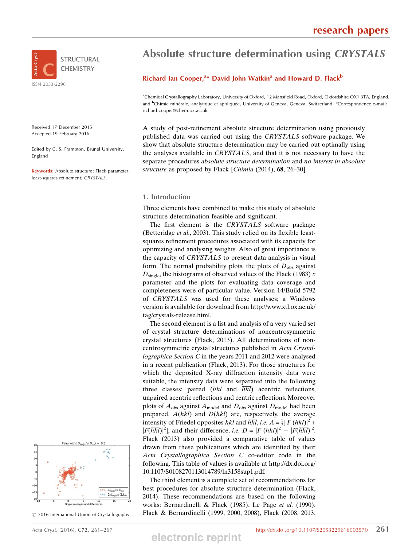

Received 17 December 2015 Accepted 19 February 2016

Edited by C. S. Frampton, Brunel University, England

Keywords: Absolute structure; Flack parameter; least-squares refinement; CRYSTALS.

# Pairs with  $|D_{\text{simple}}|/u(D_{\text{obs}})$  >  $-1($  $D_{\text{sinele}} vs D_{\text{ol}}$  $2A_{\text{sinehe}}$ <sup>US</sup>  $2A$

 $\odot$  2016 International Union of Crystallography

## Absolute structure determination using CRYSTALS

#### Richard Ian Cooper,<sup>a\*</sup> David John Watkin<sup>a</sup> and Howard D. Flack<sup>b</sup>

a Chemical Crystallography Laboratory, University of Oxford, 12 Mansfield Road, Oxford, Oxfordshire OX1 3TA, England, and <sup>b</sup>Chimie minérale, analytique et appliquée, University of Geneva, Geneva, Switzerland. \*Correspondence e-mail: richard.cooper@chem.ox.ac.uk

A study of post-refinement absolute structure determination using previously published data was carried out using the CRYSTALS software package. We show that absolute structure determination may be carried out optimally using the analyses available in CRYSTALS, and that it is not necessary to have the separate procedures *absolute structure determination* and no interest in absolute structure as proposed by Flack [Chimia (2014), 68, 26–30].

#### 1. Introduction

Three elements have combined to make this study of absolute structure determination feasible and significant.

The first element is the CRYSTALS software package (Betteridge et al., 2003). This study relied on its flexible leastsquares refinement procedures associated with its capacity for optimizing and analysing weights. Also of great importance is the capacity of CRYSTALS to present data analysis in visual form. The normal probability plots, the plots of  $D_{obs}$  against  $D_{\text{single}}$ , the histograms of observed values of the Flack (1983) x parameter and the plots for evaluating data coverage and completeness were of particular value. Version 14/Build 5792 of CRYSTALS was used for these analyses; a Windows version is available for download from http://www.xtl.ox.ac.uk/ tag/crystals-release.html.

The second element is a list and analysis of a very varied set of crystal structure determinations of noncentrosymmetric crystal structures (Flack, 2013). All determinations of noncentrosymmetric crystal structures published in Acta Crystallographica Section C in the years 2011 and 2012 were analysed in a recent publication (Flack, 2013). For those structures for which the deposited X-ray diffraction intensity data were suitable, the intensity data were separated into the following three classes: paired  $(hkl$  and  $\overline{hkl}$ ) acentric reflections, unpaired acentric reflections and centric reflections. Moreover plots of  $A_{obs}$  against  $A_{model}$  and  $D_{obs}$  against  $D_{model}$  had been prepared.  $A(hkl)$  and  $D(hkl)$  are, respectively, the average intensity of Friedel opposites hkl and  $\overline{hkl}$ , i.e.  $A = \frac{1}{2} [|F(hkl)|^2 + ...]$  $|F(\overline{hkl})|^2$ , and their difference, *i.e.*  $D = |F(hkl)|^2 - |F(\overline{hkl})|^2$ . Flack (2013) also provided a comparative table of values drawn from these publications which are identified by their Acta Crystallographica Section C co-editor code in the following. This table of values is available at http://dx.doi.org/ 10.1107/S0108270113014789/ln3158sup1.pdf.

The third element is a complete set of recommendations for best procedures for absolute structure determination (Flack, 2014). These recommendations are based on the following works: Bernardinelli & Flack (1985), Le Page et al. (1990), Flack & Bernardinelli (1999, 2000, 2008), Flack (2008, 2013,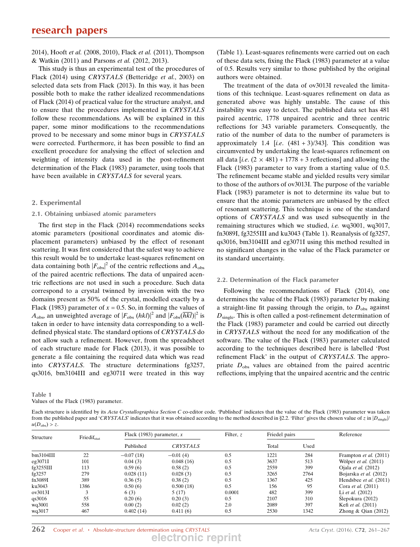2014), Hooft et al. (2008, 2010), Flack et al. (2011), Thompson & Watkin (2011) and Parsons et al. (2012, 2013).

This study is thus an experimental test of the procedures of Flack (2014) using CRYSTALS (Betteridge et al., 2003) on selected data sets from Flack (2013). In this way, it has been possible both to make the rather idealized recommendations of Flack (2014) of practical value for the structure analyst, and to ensure that the procedures implemented in CRYSTALS follow these recommendations. As will be explained in this paper, some minor modifications to the recommendations proved to be necessary and some minor bugs in CRYSTALS were corrected. Furthermore, it has been possible to find an excellent procedure for analysing the effect of selection and weighting of intensity data used in the post-refinement determination of the Flack (1983) parameter, using tools that have been available in *CRYSTALS* for several years.

#### 2. Experimental

#### 2.1. Obtaining unbiased atomic parameters

The first step in the Flack (2014) recommendations seeks atomic parameters (positional coordinates and atomic displacement parameters) unbiased by the effect of resonant scattering. It was first considered that the safest way to achieve this result would be to undertake least-squares refinement on data containing both  $|F_{\text{obs}}|^2$  of the centric reflections and  $A_{\text{obs}}$ of the paired acentric reflections. The data of unpaired acentric reflections are not used in such a procedure. Such data correspond to a crystal twinned by inversion with the two domains present as 50% of the crystal, modelled exactly by a Flack (1983) parameter of  $x = 0.5$ . So, in forming the values of  $A_{\text{obs}}$ , an unweighted average of  $|F_{\text{obs}} (h k l)|^2$  and  $|F_{\text{obs}} (\overline{h k l})|^2$  is taken in order to have intensity data corresponding to a welldefined physical state. The standard options of CRYSTALS do not allow such a refinement. However, from the spreadsheet of each structure made for Flack (2013), it was possible to generate a file containing the required data which was read into CRYSTALS. The structure determinations fg3257, qs3016, bm3104III and eg3071I were treated in this way

Table 1 Values of the Flack (1983) parameter. (Table 1). Least-squares refinements were carried out on each of these data sets, fixing the Flack (1983) parameter at a value of 0.5. Results very similar to those published by the original authors were obtained.

The treatment of the data of ov3013I revealed the limitations of this technique. Least-squares refinement on data as generated above was highly unstable. The cause of this instability was easy to detect. The published data set has 481 paired acentric, 1778 unpaired acentric and three centric reflections for 343 variable parameters. Consequently, the ratio of the number of data to the number of parameters is approximately 1.4 [i.e.  $(481 + 3)/343$ ]. This condition was circumvented by undertaking the least-squares refinement on all data  $[i.e. (2 \times 481) + 1778 + 3$  reflections] and allowing the Flack (1983) parameter to vary from a starting value of 0.5. The refinement became stable and yielded results very similar to those of the authors of ov3013I. The purpose of the variable Flack (1983) parameter is not to determine its value but to ensure that the atomic parameters are unbiased by the effect of resonant scattering. This technique is one of the standard options of CRYSTALS and was used subsequently in the remaining structures which we studied, i.e. wq3001, wq3017, fn3089I, fg3255III and ku3043 (Table 1). Reanalysis of fg3257, qs3016, bm3104III and eg3071I using this method resulted in no significant changes in the value of the Flack parameter or its standard uncertainty.

#### 2.2. Determination of the Flack parameter

Following the recommendations of Flack (2014), one determines the value of the Flack (1983) parameter by making a straight-line fit passing through the origin, to  $D_{obs}$  against  $D_{single}$ . This is often called a post-refinement determination of the Flack (1983) parameter and could be carried out directly in CRYSTALS without the need for any modification of the software. The value of the Flack (1983) parameter calculated according to the techniques described here is labelled 'Post refinement Flack' in the output of CRYSTALS. The appropriate  $D_{obs}$  values are obtained from the paired acentric reflections, implying that the unpaired acentric and the centric

| Each structure is identified by its <i>Acta Crystallographica Section C</i> co-editor code. 'Published' indicates that the value of the Flack (1983) parameter was taken         |  |
|----------------------------------------------------------------------------------------------------------------------------------------------------------------------------------|--|
| from the published paper and 'CRYSTALS' indicates that it was obtained according to the method described in §2.2. 'Filter' gives the chosen value of z in $ D_{\text{single}} /$ |  |
| $u(D_{\text{obs}}) > z.$                                                                                                                                                         |  |

| Structure | Friedif <sub>stat</sub> | Flack (1983) parameter, $x$ |            | Filter, $z$     | Friedel pairs |       | Reference                     |
|-----------|-------------------------|-----------------------------|------------|-----------------|---------------|-------|-------------------------------|
|           |                         |                             | Published  | <b>CRYSTALS</b> |               | Total | Used                          |
| bm3104III | 22                      | $-0.07(18)$                 | $-0.01(4)$ | 0.5             | 1221          | 284   | Frampton <i>et al.</i> (2011) |
| eg3071I   | 101                     | 0.04(3)                     | 0.048(16)  | 0.5             | 3637          | 513   | Wölper et al. (2011)          |
| fg3255III | 113                     | 0.59(6)                     | 0.58(2)    | 0.5             | 2559          | 399   | Ojala <i>et al.</i> $(2012)$  |
| fg $3257$ | 279                     | 0.028(11)                   | 0.028(3)   | 0.5             | 3265          | 2764  | Bojarska et al. (2012)        |
| fn3089I   | 389                     | 0.36(5)                     | 0.38(2)    | 0.5             | 1367          | 425   | Hendsbee et al. (2011)        |
| ku3043    | 1386                    | 0.50(6)                     | 0.500(18)  | 0.5             | 156           | 95    | Cora et al. (2011)            |
| ov3013I   |                         | 6 (3)                       | 5(17)      | 0.0001          | 482           | 399   | Li <i>et al.</i> $(2012)$     |
| qs3016    | 55                      | 0.20(6)                     | 0.20(3)    | 0.5             | 2107          | 310   | Slepokura (2012)              |
| wq3001    | 558                     | 0.00(2)                     | 0.02(2)    | 2.0             | 2089          | 397   | Kefi et al. (2011)            |
| wq3017    | 467                     | 0.402(14)                   | 0.411(6)   | 0.5             | 2530          | 1342  | Zhong & Qian $(2012)$         |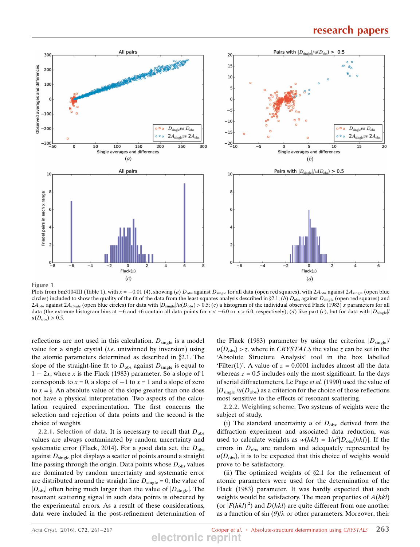

Figure 1

Plots from bm3104III (Table 1), with  $x = -0.01$  (4), showing (a)  $D_{obs}$  against  $D_{single}$  for all data (open red squares), with  $2A_{obs}$  against  $2A_{single}$  (open blue circles) included to show the quality of the fit of the data from the least-squares analysis described in  $\S2.1$ ; (b)  $D_{obs}$  against  $D_{single}$  (open red squares) and  $2A_{obs}$  against  $2A_{single}$  (open blue circles) for data with  $|D_{single}|/u(D_{obs}) > 0.5$ ; (c) a histogram of the individual observed Flack (1983) x parameters for all data (the extreme histogram bins at  $-6$  and  $+6$  contain all data points for  $x < -6.0$  or  $x > 6.0$ , respectively); (d) like part (c), but for data with  $|D_{single}|/2$  $u(D_{\text{obs}}) > 0.5$ .

reflections are not used in this calculation.  $D_{single}$  is a model value for a single crystal (*i.e.* untwinned by inversion) using the atomic parameters determined as described in  $\S 2.1$ . The slope of the straight-line fit to  $D_{obs}$  against  $D_{single}$  is equal to  $1 - 2x$ , where x is the Flack (1983) parameter. So a slope of 1 corresponds to  $x = 0$ , a slope of  $-1$  to  $x = 1$  and a slope of zero to  $x = \frac{1}{2}$ . An absolute value of the slope greater than one does not have a physical interpretation. Two aspects of the calculation required experimentation. The first concerns the selection and rejection of data points and the second is the choice of weights.

2.2.1. Selection of data. It is necessary to recall that  $D_{obs}$ values are always contaminated by random uncertainty and systematic error (Flack, 2014). For a good data set, the  $D_{obs}$ against  $D_{single}$  plot displays a scatter of points around a straight line passing through the origin. Data points whose  $D_{obs}$  values are dominated by random uncertainty and systematic error are distributed around the straight line  $D_{single} = 0$ , the value of  $|D_{\text{obs}}|$  often being much larger than the value of  $|D_{\text{single}}|$ . The resonant scattering signal in such data points is obscured by the experimental errors. As a result of these considerations, data were included in the post-refinement determination of the Flack (1983) parameter by using the criterion  $|D_{single}|/$  $u(D_{obs}) > z$ , where in *CRYSTALS* the value z can be set in the 'Absolute Structure Analysis' tool in the box labelled 'Filter(1)'. A value of  $z = 0.0001$  includes almost all the data whereas  $z = 0.5$  includes only the most significant. In the days of serial diffractometers, Le Page et al. (1990) used the value of  $|D_{single}|/u(D_{obs})$  as a criterion for the choice of those reflections most sensitive to the effects of resonant scattering.

2.2.2. Weighting scheme. Two systems of weights were the subject of study.

(i) The standard uncertainty  $u$  of  $D_{obs}$ , derived from the diffraction experiment and associated data reduction, was used to calculate weights as  $w(hkl) = 1/u^2[D_{obs}(hkl)]$ . If the errors in  $D<sub>obs</sub>$  are random and adequately represented by  $u(D<sub>obs</sub>)$ , it is to be expected that this choice of weights would prove to be satisfactory.

(ii) The optimized weights of  $\S2.1$  for the refinement of atomic parameters were used for the determination of the Flack (1983) parameter. It was hardly expected that such weights would be satisfactory. The mean properties of  $A(hkl)$ (or  $|F(hkl)|^2$ ) and  $D(hkl)$  are quite different from one another as a function of sin  $(\theta)/\lambda$  or other parameters. Moreover, their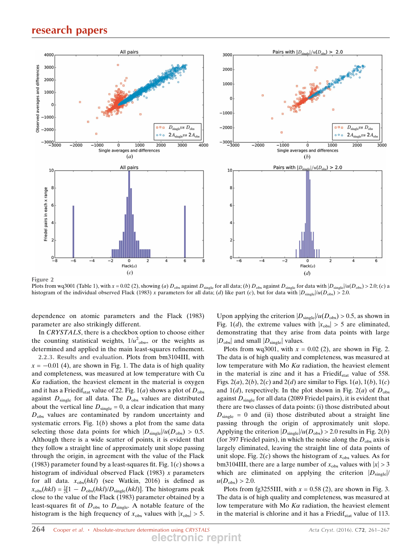

Plots from wq3001 (Table 1), with  $x = 0.02$  (2), showing (a)  $D_{obs}$  against  $D_{single}$  for all data; (b)  $D_{obs}$  against  $D_{single}$  for data with  $|D_{single}|/u(D_{obs}) > 2.0$ ; (c) a histogram of the individual observed Flack (1983) x parameters for all data; (d) like part (c), but for data with  $|D_{\text{sine}}|/u(D_{\text{obs}}) > 2.0$ .

dependence on atomic parameters and the Flack (1983) parameter are also strikingly different.

In CRYSTALS, there is a checkbox option to choose either the counting statistical weights,  $1/u^2$ <sub>obs</sub>, or the weights as determined and applied in the main least-squares refinement.

2.2.3. Results and evaluation. Plots from bm3104III, with  $x = -0.01$  (4), are shown in Fig. 1. The data is of high quality and completeness, was measured at low temperature with Cu  $K\alpha$  radiation, the heaviest element in the material is oxygen and it has a Friedif<sub>stat</sub> value of 22. Fig. 1(*a*) shows a plot of  $D_{obs}$ against  $D_{single}$  for all data. The  $D_{obs}$  values are distributed about the vertical line  $D_{single} = 0$ , a clear indication that many  $D<sub>obs</sub>$  values are contaminated by random uncertainty and systematic errors. Fig.  $1(b)$  shows a plot from the same data selecting those data points for which  $|D_{single}|/u(D_{obs}) > 0.5$ . Although there is a wide scatter of points, it is evident that they follow a straight line of approximately unit slope passing through the origin, in agreement with the value of the Flack (1983) parameter found by a least-squares fit. Fig.  $1(c)$  shows a histogram of individual observed Flack (1983)  $x$  parameters for all data.  $x_{obs}(hkl)$  (see Watkin, 2016) is defined as  $x_{\text{obs}}(hkl) = \frac{1}{2}[1 - D_{\text{obs}}(hkl)/D_{\text{single}}(hkl)]$ . The histograms peak close to the value of the Flack (1983) parameter obtained by a least-squares fit of  $D_{obs}$  to  $D_{single}$ . A notable feature of the histogram is the high frequency of  $x_{obs}$  values with  $|x_{obs}| > 5$ . Upon applying the criterion  $|D_{single}|/u(D_{obs}) > 0.5$ , as shown in Fig. 1(d), the extreme values with  $|x_{\text{obs}}| > 5$  are eliminated, demonstrating that they arise from data points with large  $|D_{\text{obs}}|$  and small  $|D_{\text{single}}|$  values.

Plots from wq3001, with  $x = 0.02$  (2), are shown in Fig. 2. The data is of high quality and completeness, was measured at low temperature with Mo  $K\alpha$  radiation, the heaviest element in the material is zinc and it has a Friedi $f_{\text{stat}}$  value of 558. Figs.  $2(a)$ ,  $2(b)$ ,  $2(c)$  and  $2(d)$  are similar to Figs.  $1(a)$ ,  $1(b)$ ,  $1(c)$ and  $1(d)$ , respectively. In the plot shown in Fig. 2(*a*) of  $D_{obs}$ against  $D_{\text{single}}$  for all data (2089 Friedel pairs), it is evident that there are two classes of data points: (i) those distributed about  $D_{\text{single}} = 0$  and (ii) those distributed about a straight line passing through the origin of approximately unit slope. Applying the criterion  $|D_{single}|/u(D_{obs}) > 2.0$  results in Fig. 2(*b*) (for 397 Friedel pairs), in which the noise along the  $D_{obs}$  axis is largely eliminated, leaving the straight line of data points of unit slope. Fig.  $2(c)$  shows the histogram of  $x_{obs}$  values. As for bm3104III, there are a large number of  $x_{obs}$  values with  $|x| > 3$ which are eliminated on applying the criterion  $|D_{single}|/$  $u(D_{\text{obs}}) > 2.0$ .

Plots from fg3255III, with  $x = 0.58$  (2), are shown in Fig. 3. The data is of high quality and completeness, was measured at low temperature with Mo  $K\alpha$  radiation, the heaviest element in the material is chlorine and it has a Friedi $f_{\text{stat}}$  value of 113.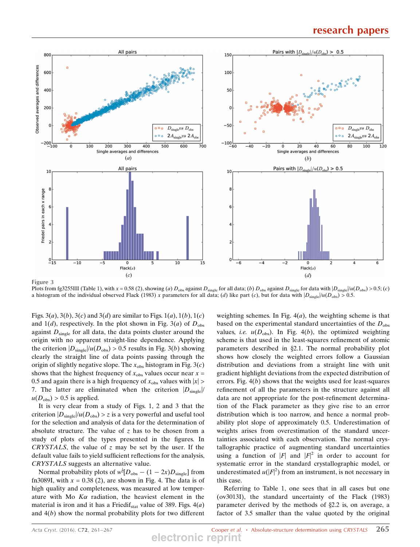

Plots from fg3255III (Table 1), with x = 0.58 (2), showing (a)  $D_{obs}$  against  $D_{single}$  for all data; (b)  $D_{obs}$  against  $D_{single}$  for data with  $|D_{single}|/u(D_{obs}) > 0.5$ ; (c) a histogram of the individual observed Flack (1983) x parameters for all data; (d) like part (c), but for data with  $|D_{\text{single}}|/u(D_{\text{obs}}) > 0.5$ .

Figs. 3(*a*), 3(*b*), 3(*c*) and 3(*d*) are similar to Figs. 1(*a*), 1(*b*), 1(*c*) and 1(d), respectively. In the plot shown in Fig. 3(a) of  $D_{\text{obs}}$ against  $D_{single}$  for all data, the data points cluster around the origin with no apparent straight-line dependence. Applying the criterion  $|D_{single}|/u(D_{obs}) > 0.5$  results in Fig. 3(*b*) showing clearly the straight line of data points passing through the origin of slightly negative slope. The  $x_{obs}$  histogram in Fig. 3(c) shows that the highest frequency of  $x_{obs}$  values occur near  $x =$ 0.5 and again there is a high frequency of  $x_{obs}$  values with  $|x| >$ 7. The latter are eliminated when the criterion  $|D_{single}|/$  $u(D_{\text{obs}}) > 0.5$  is applied.

It is very clear from a study of Figs. 1, 2 and 3 that the criterion  $|D_{single}|/u(D_{obs}) > z$  is a very powerful and useful tool for the selection and analysis of data for the determination of absolute structure. The value of  $z$  has to be chosen from a study of plots of the types presented in the figures. In CRYSTALS, the value of  $z$  may be set by the user. If the default value fails to yield sufficient reflections for the analysis, CRYSTALS suggests an alternative value.

Normal probability plots of  $w^{\frac{1}{2}}[D_{\text{obs}} - (1 - 2x)D_{\text{single}}]$  from fn3089I, with  $x = 0.38$  (2), are shown in Fig. 4. The data is of high quality and completeness, was measured at low temperature with Mo  $K\alpha$  radiation, the heaviest element in the material is iron and it has a Friedif<sub>stat</sub> value of 389. Figs.  $4(a)$ and  $4(b)$  show the normal probability plots for two different weighting schemes. In Fig.  $4(a)$ , the weighting scheme is that based on the experimental standard uncertainties of the  $D_{obs}$ values, *i.e.*  $u(D_{obs})$ . In Fig. 4(b), the optimized weighting scheme is that used in the least-squares refinement of atomic parameters described in §2.1. The normal probability plot shows how closely the weighted errors follow a Gaussian distribution and deviations from a straight line with unit gradient highlight deviations from the expected distribution of errors. Fig.  $4(b)$  shows that the weights used for least-squares refinement of all the parameters in the structure against all data are not appropriate for the post-refinement determination of the Flack parameter as they give rise to an error distribution which is too narrow, and hence a normal probability plot slope of approximately 0.5. Underestimation of weights arises from overestimation of the standard uncertainties associated with each observation. The normal crystallographic practice of augmenting standard uncertainties using a function of  $|F|$  and  $|F|^2$  in order to account for systematic error in the standard crystallographic model, or underestimated  $u(|F|^2)$  from an instrument, is not necessary in this case.

Referring to Table 1, one sees that in all cases but one (ov3013I), the standard uncertainty of the Flack (1983) parameter derived by the methods of  $\S 2.2$  is, on average, a factor of 3.5 smaller than the value quoted by the original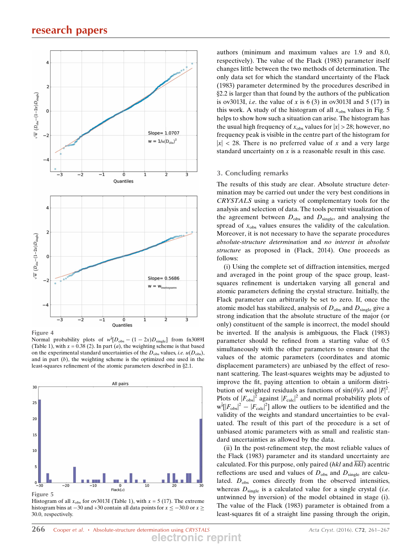

Figure 4

Normal probability plots of  $w^{\frac{1}{2}}[D_{\text{obs}} - (1 - 2x)D_{\text{single}}]$  from fn3089I (Table 1), with  $x = 0.38$  (2). In part (*a*), the weighting scheme is that based on the experimental standard uncertainties of the  $D_{obs}$  values, *i.e.*  $u(D_{obs})$ , and in part  $(b)$ , the weighting scheme is the optimized one used in the least-squares refinement of the atomic parameters described in §2.1.



Histogram of all  $x_{obs}$  for ov3013I (Table 1), with  $x = 5$  (17). The extreme histogram bins at  $-30$  and  $+30$  contain all data points for  $x \le -30.0$  or  $x \ge$ 30.0, respectively.

authors (minimum and maximum values are 1.9 and 8.0, respectively). The value of the Flack (1983) parameter itself changes little between the two methods of determination. The only data set for which the standard uncertainty of the Flack (1983) parameter determined by the procedures described in x2.2 is larger than that found by the authors of the publication is ov3013I, *i.e.* the value of x is  $6(3)$  in ov3013I and  $5(17)$  in this work. A study of the histogram of all  $x_{obs}$  values in Fig. 5 helps to show how such a situation can arise. The histogram has the usual high frequency of  $x_{obs}$  values for  $|x| > 28$ ; however, no frequency peak is visible in the centre part of the histogram for  $|x|$  < 28. There is no preferred value of x and a very large standard uncertainty on  $x$  is a reasonable result in this case.

#### 3. Concluding remarks

The results of this study are clear. Absolute structure determination may be carried out under the very best conditions in CRYSTALS using a variety of complementary tools for the analysis and selection of data. The tools permit visualization of the agreement between  $D_{obs}$  and  $D_{single}$ , and analysing the spread of  $x_{obs}$  values ensures the validity of the calculation. Moreover, it is not necessary to have the separate procedures absolute-structure determination and no interest in absolute structure as proposed in (Flack, 2014). One proceeds as follows:

(i) Using the complete set of diffraction intensities, merged and averaged in the point group of the space group, leastsquares refinement is undertaken varying all general and atomic parameters defining the crystal structure. Initially, the Flack parameter can arbitrarily be set to zero. If, once the atomic model has stabilized, analysis of  $D_{obs}$  and  $D_{single}$  give a strong indication that the absolute structure of the major (or only) constituent of the sample is incorrect, the model should be inverted. If the analysis is ambiguous, the Flack (1983) parameter should be refined from a starting value of 0.5 simultaneously with the other parameters to ensure that the values of the atomic parameters (coordinates and atomic displacement parameters) are unbiased by the effect of resonant scattering. The least-squares weights may be adjusted to improve the fit, paying attention to obtain a uniform distribution of weighted residuals as functions of  $sin(\theta)/\lambda$  and  $|F|^2$ . Plots of  $|F_{\text{obs}}|^2$  against  $|F_{\text{calc}}|^2$  and normal probability plots of  $\frac{1}{2} \left| F_{\text{obs}} \right|^2 - \left| F_{\text{calc}} \right|^2 \right|$  allow the outliers to be identified and the validity of the weights and standard uncertainties to be evaluated. The result of this part of the procedure is a set of unbiased atomic parameters with as small and realistic standard uncertainties as allowed by the data.

(ii) In the post-refinement step, the most reliable values of the Flack (1983) parameter and its standard uncertainty are calculated. For this purpose, only paired (hkl and  $\overline{hkl}$ ) acentric reflections are used and values of  $D_{obs}$  and  $D_{single}$  are calculated.  $D_{obs}$  comes directly from the observed intensities, whereas  $D_{\text{single}}$  is a calculated value for a single crystal (*i.e.* untwinned by inversion) of the model obtained in stage (i). The value of the Flack (1983) parameter is obtained from a least-squares fit of a straight line passing through the origin,